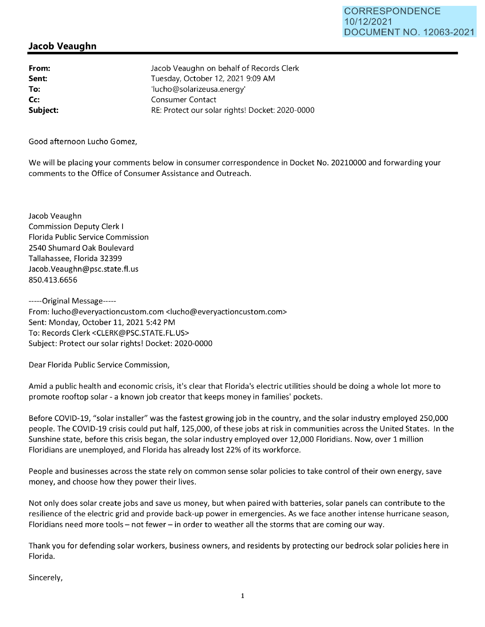## **Jacob Veaughn**

**From: Sent: To: Cc: Subject:**  Jacob Veaughn on behalf of Records Clerk Tuesday, October 12, 2021 9:09 **AM**  'lucho@solarizeusa.energy' Consumer Contact RE: Protect our solar rights! Docket: 2020-0000

Good afternoon Lucho Gomez,

We will be placing your comments below in consumer correspondence in Docket No. 20210000 and forwarding your comments to the Office of Consumer Assistance and Outreach.

Jacob Veaughn Commission Deputy Clerk I Florida Public Service Commission 2540 Shumard Oak Boulevard Tallahassee, Florida 32399 Jacob.Veaughn@psc.state.fl.us 850.413.6656

-----Original Message----- From: lucho@everyactioncustom.com <lucho@everyactioncustom.com> Sent: Monday, October 11, 2021 5:42 PM To: Records Clerk <CLERK@PSC.STATE.FL.US> Subject: Protect our solar rights! Docket: 2020-0000

Dear Florida Public Service Commission,

Amid a public health and economic crisis, it's clear that Florida's electric utilities should be doing a whole lot more to promote rooftop solar - a known job creator that keeps money in families' pockets.

Before COVID-19, "solar installer" was the fastest growing job in the country, and the solar industry employed 250,000 people. The COVID-19 crisis could put half, 125,000, of these jobs at risk in communities across the United States. In the Sunshine state, before this crisis began, the solar industry employed over 12,000 Floridians. Now, over 1 million Floridians are unemployed, and Florida has already lost 22% of its workforce.

People and businesses across the state rely on common sense solar policies to take control of their own energy, save money, and choose how they power their lives.

Not only does solar create jobs and save us money, but when paired with batteries, solar panels can contribute to the resilience of the electric grid and provide back-up power in emergencies. As we face another intense hurricane season, Floridians need more tools - not fewer - in order to weather all the storms that are coming our way.

Thank you for defending solar workers, business owners, and residents by protecting our bedrock solar policies here in Florida.

Sincerely,